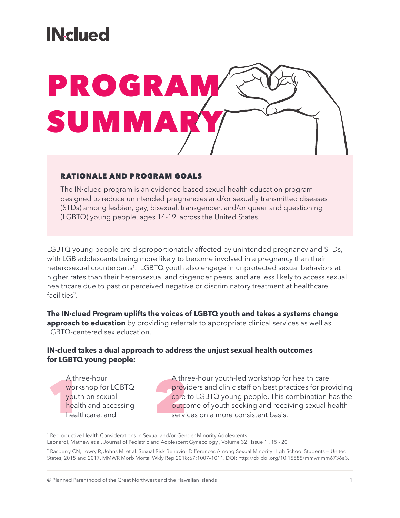### **INclued**



#### RATIONALE AND PROGRAM GOALS

The IN·clued program is an evidence-based sexual health education program designed to reduce unintended pregnancies and/or sexually transmitted diseases (STDs) among lesbian, gay, bisexual, transgender, and/or queer and questioning (LGBTQ) young people, ages 14-19, across the United States.

LGBTQ young people are disproportionately affected by unintended pregnancy and STDs, with LGB adolescents being more likely to become involved in a pregnancy than their heterosexual counterparts<sup>1</sup>. LGBTQ youth also engage in unprotected sexual behaviors at higher rates than their heterosexual and cisgender peers, and are less likely to access sexual healthcare due to past or perceived negative or discriminatory treatment at healthcare facilities<sup>2</sup>.

**The IN·clued Program uplifts the voices of LGBTQ youth and takes a systems change approach to education** by providing referrals to appropriate clinical services as well as LGBTQ-centered sex education.

#### **IN·clued takes a dual approach to address the unjust sexual health outcomes for LGBTQ young people:**

A three-hour<br>
workshop for LGBTQ<br>
youth on sexual<br>
health and accessing<br>
healthcare, and<br>
servi A three-hour workshop for LGBTQ youth on sexual health and accessing healthcare, and

A three-hour youth-led workshop for health care providers and clinic staff on best practices for providing care to LGBTQ young people. This combination has the outcome of youth seeking and receiving sexual health services on a more consistent basis.

<sup>1</sup> Reproductive Health Considerations in Sexual and/or Gender Minority Adolescents Leonardi, Mathew et al. Journal of Pediatric and Adolescent Gynecology , Volume 32 , Issue 1 , 15 - 20

<sup>2</sup> Rasberry CN, Lowry R, Johns M, et al. Sexual Risk Behavior Differences Among Sexual Minority High School Students - United States, 2015 and 2017. MMWR Morb Mortal Wkly Rep 2018;67:1007–1011. DOI: http://dx.doi.org/10.15585/mmwr.mm6736a3.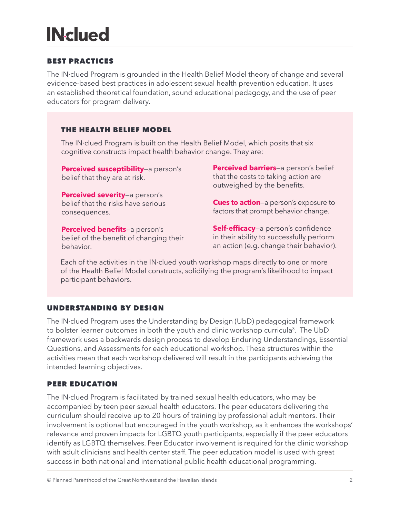# **IN-clued**

#### BEST PRACTICES

The IN·clued Program is grounded in the Health Belief Model theory of change and several evidence-based best practices in adolescent sexual health prevention education. It uses an established theoretical foundation, sound educational pedagogy, and the use of peer educators for program delivery.

#### THE HEALTH BELIEF MODEL

The IN·clued Program is built on the Health Belief Model, which posits that six cognitive constructs impact health behavior change. They are:

**Perceived susceptibility**—a person's belief that they are at risk.

**Perceived severity**—a person's belief that the risks have serious consequences.

**Perceived benefits**—a person's belief of the benefit of changing their behavior.

**Perceived barriers**—a person's belief that the costs to taking action are outweighed by the benefits.

**Cues to action**—a person's exposure to factors that prompt behavior change.

**Self-efficacy**—a person's confidence in their ability to successfully perform an action (e.g. change their behavior).

Each of the activities in the IN·clued youth workshop maps directly to one or more of the Health Belief Model constructs, solidifying the program's likelihood to impact participant behaviors.

#### UNDERSTANDING BY DESIGN

The IN·clued Program uses the Understanding by Design (UbD) pedagogical framework to bolster learner outcomes in both the youth and clinic workshop curricula<sup>3</sup>. The UbD framework uses a backwards design process to develop Enduring Understandings, Essential Questions, and Assessments for each educational workshop. These structures within the activities mean that each workshop delivered will result in the participants achieving the intended learning objectives.

#### PEER EDUCATION

The IN·clued Program is facilitated by trained sexual health educators, who may be accompanied by teen peer sexual health educators. The peer educators delivering the curriculum should receive up to 20 hours of training by professional adult mentors. Their involvement is optional but encouraged in the youth workshop, as it enhances the workshops' relevance and proven impacts for LGBTQ youth participants, especially if the peer educators identify as LGBTQ themselves. Peer Educator involvement is required for the clinic workshop with adult clinicians and health center staff. The peer education model is used with great success in both national and international public health educational programming.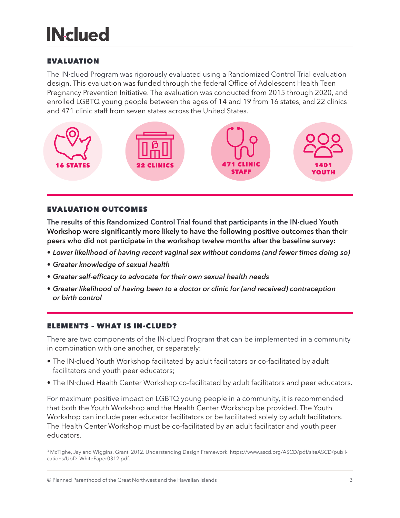# **INclued**

#### EVALUATION

The IN·clued Program was rigorously evaluated using a Randomized Control Trial evaluation design. This evaluation was funded through the federal Office of Adolescent Health Teen Pregnancy Prevention Initiative. The evaluation was conducted from 2015 through 2020, and enrolled LGBTQ young people between the ages of 14 and 19 from 16 states, and 22 clinics and 471 clinic staff from seven states across the United States.



#### EVALUATION OUTCOMES

**The results of this Randomized Control Trial found that participants in the IN·clued Youth Workshop were significantly more likely to have the following positive outcomes than their peers who did not participate in the workshop twelve months after the baseline survey:**

- *• Lower likelihood of having recent vaginal sex without condoms (and fewer times doing so)*
- *• Greater knowledge of sexual health*
- *• Greater self-efficacy to advocate for their own sexual health needs*
- *• Greater likelihood of having been to a doctor or clinic for (and received) contraception or birth control*

#### ELEMENTS – WHAT IS IN·CLUED?

There are two components of the IN·clued Program that can be implemented in a community in combination with one another, or separately:

- The IN·clued Youth Workshop facilitated by adult facilitators or co-facilitated by adult facilitators and youth peer educators;
- The IN·clued Health Center Workshop co-facilitated by adult facilitators and peer educators.

For maximum positive impact on LGBTQ young people in a community, it is recommended that both the Youth Workshop and the Health Center Workshop be provided. The Youth Workshop can include peer educator facilitators or be facilitated solely by adult facilitators. The Health Center Workshop must be co-facilitated by an adult facilitator and youth peer educators.

<sup>3</sup> McTighe, Jay and Wiggins, Grant. 2012. Understanding Design Framework. https://www.ascd.org/ASCD/pdf/siteASCD/publications/UbD\_WhitePaper0312.pdf.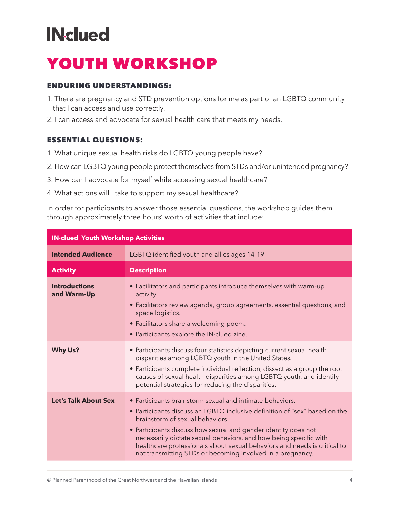# **IN-clued**

### YOUTH WORKSHOP

#### ENDURING UNDERSTANDINGS:

- 1. There are pregnancy and STD prevention options for me as part of an LGBTQ community that I can access and use correctly.
- 2. I can access and advocate for sexual health care that meets my needs.

#### ESSENTIAL QUESTIONS:

- 1. What unique sexual health risks do LGBTQ young people have?
- 2. How can LGBTQ young people protect themselves from STDs and/or unintended pregnancy?
- 3. How can I advocate for myself while accessing sexual healthcare?
- 4. What actions will I take to support my sexual healthcare?

In order for participants to answer those essential questions, the workshop guides them through approximately three hours' worth of activities that include:

| <b>IN-clued Youth Workshop Activities</b> |                                                                                                                                                                                                                                                                                                                                                                                                                                                            |
|-------------------------------------------|------------------------------------------------------------------------------------------------------------------------------------------------------------------------------------------------------------------------------------------------------------------------------------------------------------------------------------------------------------------------------------------------------------------------------------------------------------|
| <b>Intended Audience</b>                  | LGBTQ identified youth and allies ages 14-19                                                                                                                                                                                                                                                                                                                                                                                                               |
| <b>Activity</b>                           | <b>Description</b>                                                                                                                                                                                                                                                                                                                                                                                                                                         |
| <b>Introductions</b><br>and Warm-Up       | • Facilitators and participants introduce themselves with warm-up<br>activity.<br>• Facilitators review agenda, group agreements, essential questions, and<br>space logistics.<br>• Facilitators share a welcoming poem.<br>• Participants explore the IN clued zine.                                                                                                                                                                                      |
| <b>Why Us?</b>                            | • Participants discuss four statistics depicting current sexual health<br>disparities among LGBTQ youth in the United States.<br>• Participants complete individual reflection, dissect as a group the root<br>causes of sexual health disparities among LGBTQ youth, and identify<br>potential strategies for reducing the disparities.                                                                                                                   |
| <b>Let's Talk About Sex</b>               | • Participants brainstorm sexual and intimate behaviors.<br>• Participants discuss an LGBTQ inclusive definition of "sex" based on the<br>brainstorm of sexual behaviors.<br>• Participants discuss how sexual and gender identity does not<br>necessarily dictate sexual behaviors, and how being specific with<br>healthcare professionals about sexual behaviors and needs is critical to<br>not transmitting STDs or becoming involved in a pregnancy. |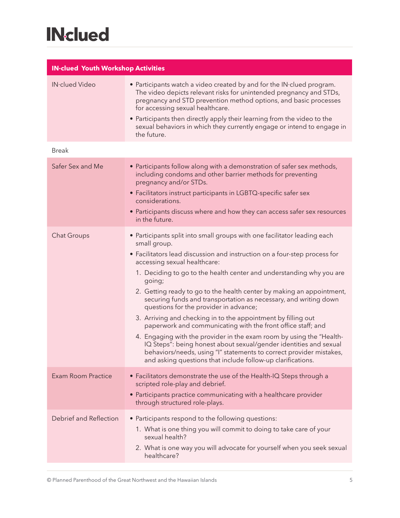# **INclued**

| <b>IN-clued Youth Workshop Activities</b> |                                                                                                                                                                                                                                                                                                                                                                                                                                                                                                                                                                                                                                                                                                                                                                                                                                                                                                    |  |
|-------------------------------------------|----------------------------------------------------------------------------------------------------------------------------------------------------------------------------------------------------------------------------------------------------------------------------------------------------------------------------------------------------------------------------------------------------------------------------------------------------------------------------------------------------------------------------------------------------------------------------------------------------------------------------------------------------------------------------------------------------------------------------------------------------------------------------------------------------------------------------------------------------------------------------------------------------|--|
| IN·clued Video                            | • Participants watch a video created by and for the IN clued program.<br>The video depicts relevant risks for unintended pregnancy and STDs,<br>pregnancy and STD prevention method options, and basic processes<br>for accessing sexual healthcare.<br>• Participants then directly apply their learning from the video to the<br>sexual behaviors in which they currently engage or intend to engage in<br>the future.                                                                                                                                                                                                                                                                                                                                                                                                                                                                           |  |
| <b>Break</b>                              |                                                                                                                                                                                                                                                                                                                                                                                                                                                                                                                                                                                                                                                                                                                                                                                                                                                                                                    |  |
| Safer Sex and Me                          | • Participants follow along with a demonstration of safer sex methods,<br>including condoms and other barrier methods for preventing<br>pregnancy and/or STDs.<br>• Facilitators instruct participants in LGBTQ-specific safer sex<br>considerations.<br>• Participants discuss where and how they can access safer sex resources<br>in the future.                                                                                                                                                                                                                                                                                                                                                                                                                                                                                                                                                |  |
| <b>Chat Groups</b>                        | • Participants split into small groups with one facilitator leading each<br>small group.<br>• Facilitators lead discussion and instruction on a four-step process for<br>accessing sexual healthcare:<br>1. Deciding to go to the health center and understanding why you are<br>going;<br>2. Getting ready to go to the health center by making an appointment,<br>securing funds and transportation as necessary, and writing down<br>questions for the provider in advance;<br>3. Arriving and checking in to the appointment by filling out<br>paperwork and communicating with the front office staff; and<br>4. Engaging with the provider in the exam room by using the "Health-<br>IQ Steps": being honest about sexual/gender identities and sexual<br>behaviors/needs, using "I" statements to correct provider mistakes,<br>and asking questions that include follow-up clarifications. |  |
| <b>Exam Room Practice</b>                 | • Facilitators demonstrate the use of the Health-IQ Steps through a<br>scripted role-play and debrief.<br>• Participants practice communicating with a healthcare provider<br>through structured role-plays.                                                                                                                                                                                                                                                                                                                                                                                                                                                                                                                                                                                                                                                                                       |  |
| Debrief and Reflection                    | • Participants respond to the following questions:<br>1. What is one thing you will commit to doing to take care of your<br>sexual health?<br>2. What is one way you will advocate for yourself when you seek sexual<br>healthcare?                                                                                                                                                                                                                                                                                                                                                                                                                                                                                                                                                                                                                                                                |  |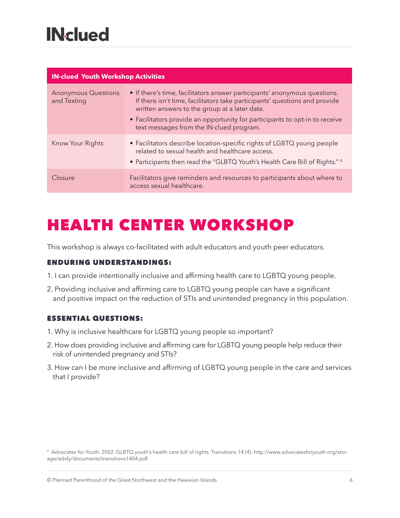| <b>IN-clued Youth Workshop Activities</b> |                                                                                                                                                                                                                                                                                                                                     |  |
|-------------------------------------------|-------------------------------------------------------------------------------------------------------------------------------------------------------------------------------------------------------------------------------------------------------------------------------------------------------------------------------------|--|
| <b>Anonymous Questions</b><br>and Texting | • If there's time, facilitators answer participants' anonymous questions.<br>If there isn't time, facilitators take participants' questions and provide<br>written answers to the group at a later date.<br>• Facilitators provide an opportunity for participants to opt-in to receive<br>text messages from the IN-clued program. |  |
| Know Your Rights                          | • Facilitators describe location-specific rights of LGBTQ young people<br>related to sexual health and healthcare access.<br>• Participants then read the "GLBTQ Youth's Health Care Bill of Rights." 4                                                                                                                             |  |
| <b>Closure</b>                            | Facilitators give reminders and resources to participants about where to<br>access sexual healthcare.                                                                                                                                                                                                                               |  |

### HEALTH CENTER WORKSHOP

This workshop is always co-facilitated with adult educators and youth peer educators.

#### ENDURING UNDERSTANDINGS:

- 1. I can provide intentionally inclusive and affirming health care to LGBTQ young people.
- 2. Providing inclusive and affirming care to LGBTQ young people can have a significant and positive impact on the reduction of STIs and unintended pregnancy in this population.

#### ESSENTIAL QUESTIONS:

- 1. Why is inclusive healthcare for LGBTQ young people so important?
- 2. How does providing inclusive and affirming care for LGBTQ young people help reduce their risk of unintended pregnancy and STIs?
- 3. How can I be more inclusive and affirming of LGBTQ young people in the care and services that I provide?

<sup>4</sup> Advocates for Youth. 2002. GLBTQ youth's health care bill of rights. Transitions 14 (4). http://www.advocatesforyouth.org/storage/advfy/documents/transitions1404.pdf.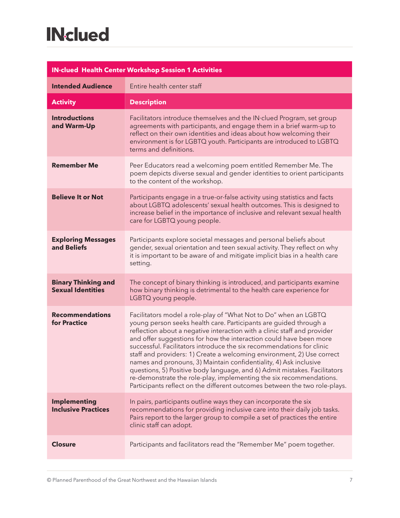| <b>IN-clued Health Center Workshop Session 1 Activities</b> |                                                                                                                                                                                                                                                                                                                                                                                                                                                                                                                                                                                                                                                                                                                                                   |  |
|-------------------------------------------------------------|---------------------------------------------------------------------------------------------------------------------------------------------------------------------------------------------------------------------------------------------------------------------------------------------------------------------------------------------------------------------------------------------------------------------------------------------------------------------------------------------------------------------------------------------------------------------------------------------------------------------------------------------------------------------------------------------------------------------------------------------------|--|
| <b>Intended Audience</b>                                    | Entire health center staff                                                                                                                                                                                                                                                                                                                                                                                                                                                                                                                                                                                                                                                                                                                        |  |
| <b>Activity</b>                                             | <b>Description</b>                                                                                                                                                                                                                                                                                                                                                                                                                                                                                                                                                                                                                                                                                                                                |  |
| <b>Introductions</b><br>and Warm-Up                         | Facilitators introduce themselves and the IN clued Program, set group<br>agreements with participants, and engage them in a brief warm-up to<br>reflect on their own identities and ideas about how welcoming their<br>environment is for LGBTQ youth. Participants are introduced to LGBTQ<br>terms and definitions.                                                                                                                                                                                                                                                                                                                                                                                                                             |  |
| <b>Remember Me</b>                                          | Peer Educators read a welcoming poem entitled Remember Me. The<br>poem depicts diverse sexual and gender identities to orient participants<br>to the content of the workshop.                                                                                                                                                                                                                                                                                                                                                                                                                                                                                                                                                                     |  |
| <b>Believe It or Not</b>                                    | Participants engage in a true-or-false activity using statistics and facts<br>about LGBTQ adolescents' sexual health outcomes. This is designed to<br>increase belief in the importance of inclusive and relevant sexual health<br>care for LGBTQ young people.                                                                                                                                                                                                                                                                                                                                                                                                                                                                                   |  |
| <b>Exploring Messages</b><br>and Beliefs                    | Participants explore societal messages and personal beliefs about<br>gender, sexual orientation and teen sexual activity. They reflect on why<br>it is important to be aware of and mitigate implicit bias in a health care<br>setting.                                                                                                                                                                                                                                                                                                                                                                                                                                                                                                           |  |
| <b>Binary Thinking and</b><br><b>Sexual Identities</b>      | The concept of binary thinking is introduced, and participants examine<br>how binary thinking is detrimental to the health care experience for<br>LGBTQ young people.                                                                                                                                                                                                                                                                                                                                                                                                                                                                                                                                                                             |  |
| <b>Recommendations</b><br><b>for Practice</b>               | Facilitators model a role-play of "What Not to Do" when an LGBTQ<br>young person seeks health care. Participants are guided through a<br>reflection about a negative interaction with a clinic staff and provider<br>and offer suggestions for how the interaction could have been more<br>successful. Facilitators introduce the six recommendations for clinic<br>staff and providers: 1) Create a welcoming environment, 2) Use correct<br>names and pronouns, 3) Maintain confidentiality, 4) Ask inclusive<br>questions, 5) Positive body language, and 6) Admit mistakes. Facilitators<br>re-demonstrate the role-play, implementing the six recommendations.<br>Participants reflect on the different outcomes between the two role-plays. |  |
| <b>Implementing</b><br><b>Inclusive Practices</b>           | In pairs, participants outline ways they can incorporate the six<br>recommendations for providing inclusive care into their daily job tasks.<br>Pairs report to the larger group to compile a set of practices the entire<br>clinic staff can adopt.                                                                                                                                                                                                                                                                                                                                                                                                                                                                                              |  |
| <b>Closure</b>                                              | Participants and facilitators read the "Remember Me" poem together.                                                                                                                                                                                                                                                                                                                                                                                                                                                                                                                                                                                                                                                                               |  |